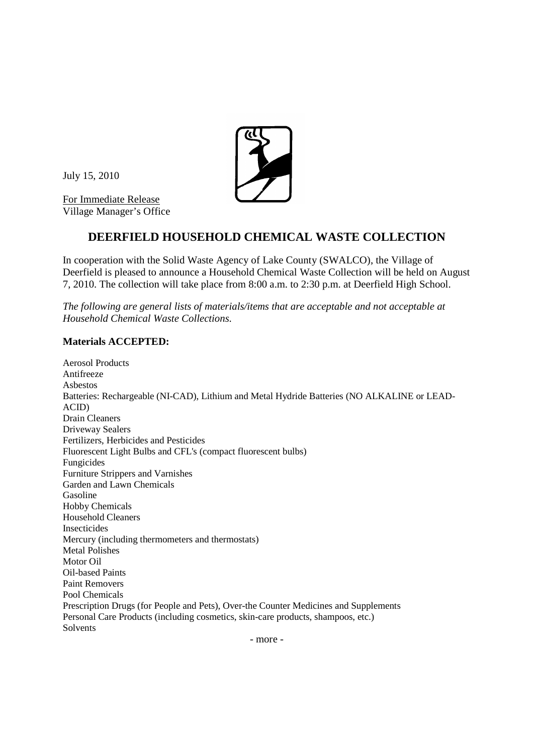July 15, 2010

For Immediate Release Village Manager's Office



## **DEERFIELD HOUSEHOLD CHEMICAL WASTE COLLECTION**

In cooperation with the Solid Waste Agency of Lake County (SWALCO), the Village of Deerfield is pleased to announce a Household Chemical Waste Collection will be held on August 7, 2010. The collection will take place from 8:00 a.m. to 2:30 p.m. at Deerfield High School.

*The following are general lists of materials/items that are acceptable and not acceptable at Household Chemical Waste Collections.*

## **Materials ACCEPTED:**

Aerosol Products Antifreeze Asbestos Batteries: Rechargeable (NI-CAD), Lithium and Metal Hydride Batteries (NO ALKALINE or LEAD-ACID) Drain Cleaners Driveway Sealers Fertilizers, Herbicides and Pesticides Fluorescent Light Bulbs and CFL's (compact fluorescent bulbs) Fungicides Furniture Strippers and Varnishes Garden and Lawn Chemicals Gasoline Hobby Chemicals Household Cleaners Insecticides Mercury (including thermometers and thermostats) Metal Polishes Motor Oil Oil-based Paints Paint Removers Pool Chemicals Prescription Drugs (for People and Pets), Over-the Counter Medicines and Supplements Personal Care Products (including cosmetics, skin-care products, shampoos, etc.) Solvents

- more -